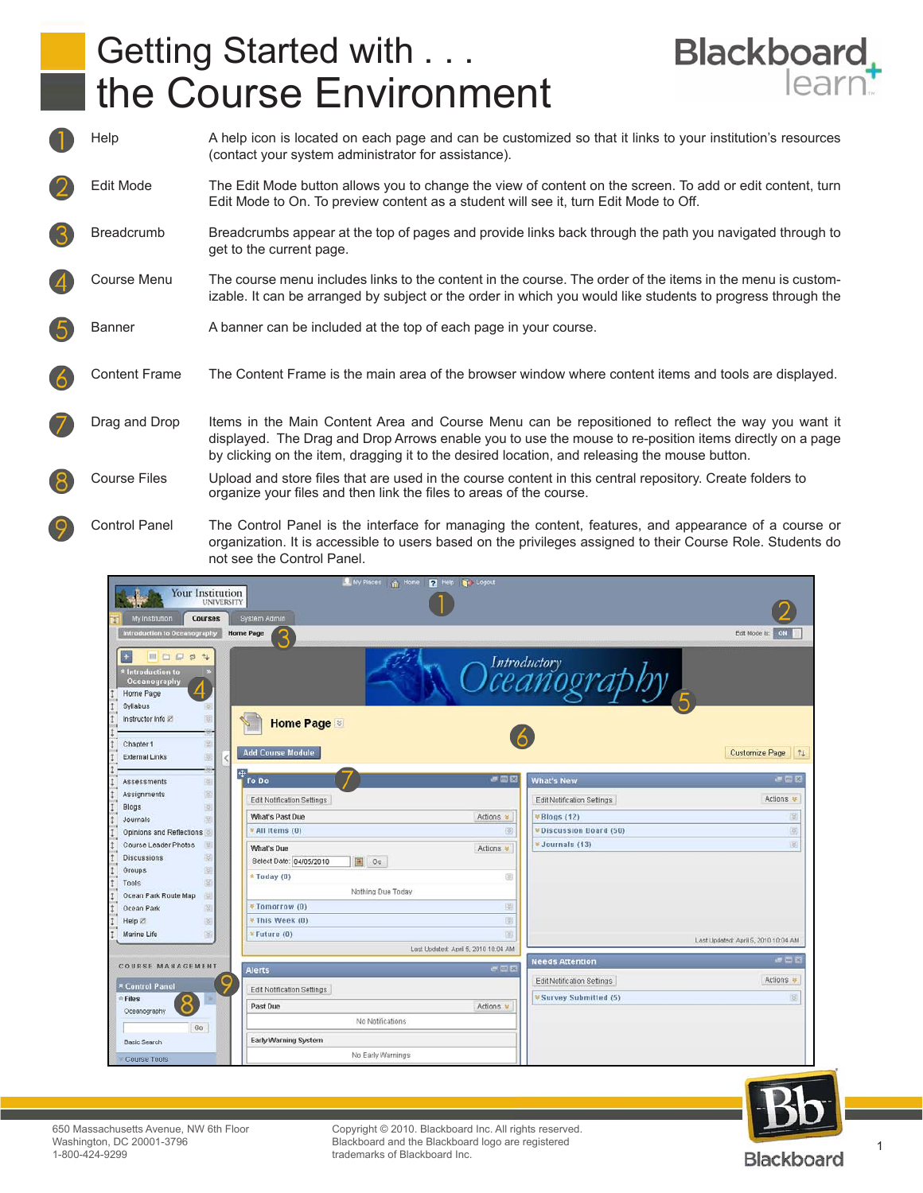## Getting Started with . . . the Course Environment



Help A help icon is located on each page and can be customized so that it links to your institution's resources (contact your system administrator for assistance). Edit Mode The Edit Mode button allows you to change the view of content on the screen. To add or edit content, turn Edit Mode to On. To preview content as a student will see it, turn Edit Mode to Off. Breadcrumb Breadcrumbs appear at the top of pages and provide links back through the path you navigated through to get to the current page. Course Menu The course menu includes links to the content in the course. The order of the items in the menu is customizable. It can be arranged by subject or the order in which you would like students to progress through the Banner A banner can be included at the top of each page in your course. Content Frame The Content Frame is the main area of the browser window where content items and tools are displayed. Drag and Drop Items in the Main Content Area and Course Menu can be repositioned to reflect the way you want it displayed. The Drag and Drop Arrows enable you to use the mouse to re-position items directly on a page by clicking on the item, dragging it to the desired location, and releasing the mouse button. Course Files Upload and store files that are used in the course content in this central repository. Create folders to organize your files and then link the files to areas of the course.

Control Panel The Control Panel is the interface for managing the content, features, and appearance of a course or organization. It is accessible to users based on the privileges assigned to their Course Role. Students do not see the Control Panel.





Blackboard and the Blackboard logo are registered<br>trademarks of Blackboard Inc. Copyright © 2010. Blackboard Inc. All rights reserved. trademarks of Blackboard Inc.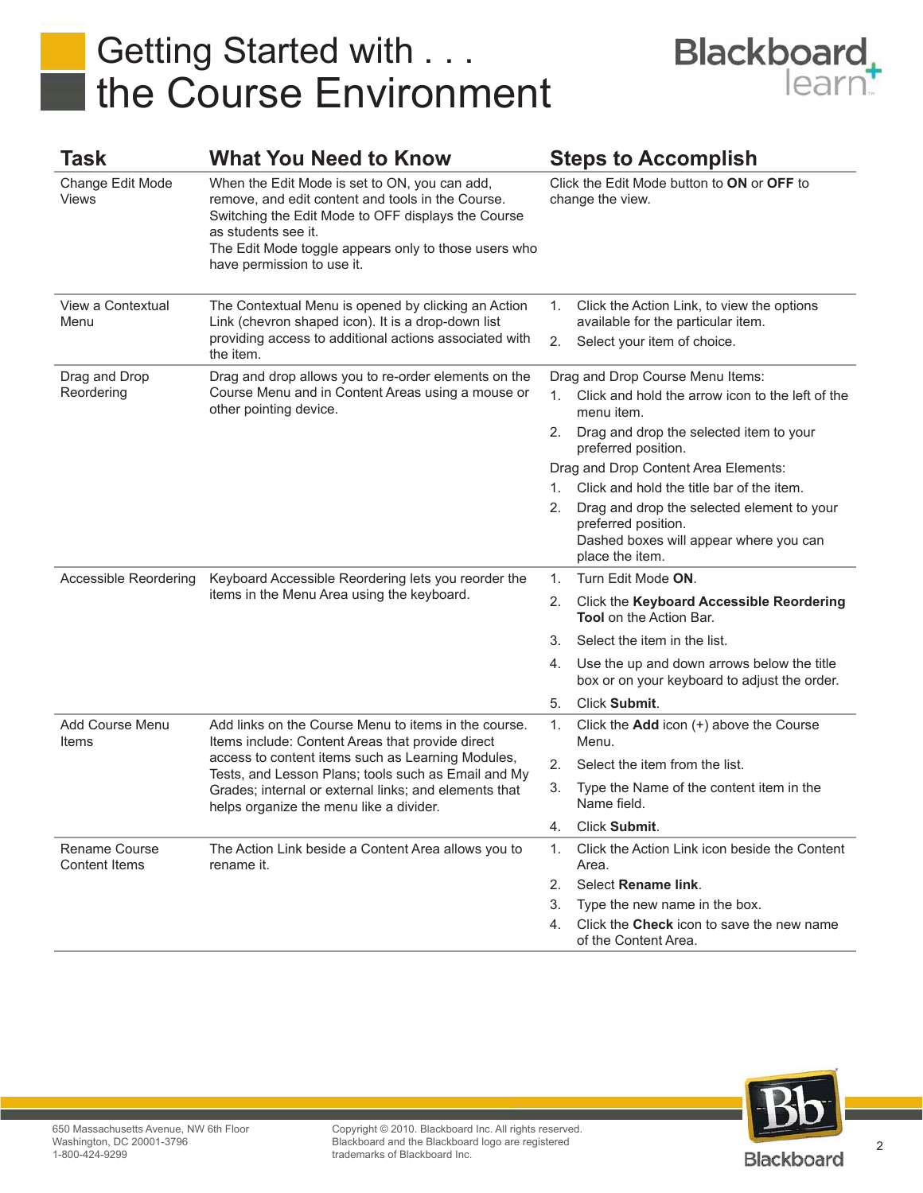## Getting Started with . . . the Course Environment



| Task                                  | <b>What You Need to Know</b>                                                                                                                                                                                                                                                                                             | <b>Steps to Accomplish</b>                                     |                                                                                                                                |
|---------------------------------------|--------------------------------------------------------------------------------------------------------------------------------------------------------------------------------------------------------------------------------------------------------------------------------------------------------------------------|----------------------------------------------------------------|--------------------------------------------------------------------------------------------------------------------------------|
| Change Edit Mode<br>Views             | When the Edit Mode is set to ON, you can add,<br>remove, and edit content and tools in the Course.<br>Switching the Edit Mode to OFF displays the Course<br>as students see it.<br>The Edit Mode toggle appears only to those users who<br>have permission to use it.                                                    | Click the Edit Mode button to ON or OFF to<br>change the view. |                                                                                                                                |
| View a Contextual<br>Menu             | The Contextual Menu is opened by clicking an Action<br>Link (chevron shaped icon). It is a drop-down list<br>providing access to additional actions associated with<br>the item.                                                                                                                                         | 1.<br>2.                                                       | Click the Action Link, to view the options<br>available for the particular item.<br>Select your item of choice.                |
| Drag and Drop<br>Reordering           | Drag and drop allows you to re-order elements on the<br>Course Menu and in Content Areas using a mouse or<br>other pointing device.                                                                                                                                                                                      |                                                                | Drag and Drop Course Menu Items:                                                                                               |
|                                       |                                                                                                                                                                                                                                                                                                                          | 1.                                                             | Click and hold the arrow icon to the left of the<br>menu item.                                                                 |
|                                       |                                                                                                                                                                                                                                                                                                                          | 2.                                                             | Drag and drop the selected item to your<br>preferred position.                                                                 |
|                                       |                                                                                                                                                                                                                                                                                                                          |                                                                | Drag and Drop Content Area Elements:                                                                                           |
|                                       |                                                                                                                                                                                                                                                                                                                          | 1.                                                             | Click and hold the title bar of the item.                                                                                      |
|                                       |                                                                                                                                                                                                                                                                                                                          | 2.                                                             | Drag and drop the selected element to your<br>preferred position.<br>Dashed boxes will appear where you can<br>place the item. |
| Accessible Reordering                 | Keyboard Accessible Reordering lets you reorder the<br>items in the Menu Area using the keyboard.                                                                                                                                                                                                                        | 1.                                                             | Turn Edit Mode ON.                                                                                                             |
|                                       |                                                                                                                                                                                                                                                                                                                          | 2.                                                             | Click the Keyboard Accessible Reordering<br><b>Tool</b> on the Action Bar.                                                     |
|                                       |                                                                                                                                                                                                                                                                                                                          | 3.                                                             | Select the item in the list.                                                                                                   |
|                                       |                                                                                                                                                                                                                                                                                                                          | 4.                                                             | Use the up and down arrows below the title<br>box or on your keyboard to adjust the order.                                     |
|                                       |                                                                                                                                                                                                                                                                                                                          | 5.                                                             | Click Submit.                                                                                                                  |
| Add Course Menu<br>Items              | Add links on the Course Menu to items in the course.<br>Items include: Content Areas that provide direct<br>access to content items such as Learning Modules,<br>Tests, and Lesson Plans; tools such as Email and My<br>Grades; internal or external links; and elements that<br>helps organize the menu like a divider. | 1.                                                             | Click the $Add$ icon $(+)$ above the Course<br>Menu.                                                                           |
|                                       |                                                                                                                                                                                                                                                                                                                          | 2.                                                             | Select the item from the list.                                                                                                 |
|                                       |                                                                                                                                                                                                                                                                                                                          | 3.                                                             | Type the Name of the content item in the<br>Name field.                                                                        |
|                                       |                                                                                                                                                                                                                                                                                                                          | 4.                                                             | Click Submit.                                                                                                                  |
| Rename Course<br><b>Content Items</b> | The Action Link beside a Content Area allows you to<br>rename it.                                                                                                                                                                                                                                                        | 1.                                                             | Click the Action Link icon beside the Content<br>Area.                                                                         |
|                                       |                                                                                                                                                                                                                                                                                                                          | 2.                                                             | Select Rename link.                                                                                                            |
|                                       |                                                                                                                                                                                                                                                                                                                          | 3.                                                             | Type the new name in the box.                                                                                                  |
|                                       |                                                                                                                                                                                                                                                                                                                          | 4.                                                             | Click the Check icon to save the new name<br>of the Content Area.                                                              |



Copyright © 2010. Blackboard Inc. All rights reserved. Blackboard and the Blackboard logo are registered trademarks of Blackboard Inc.